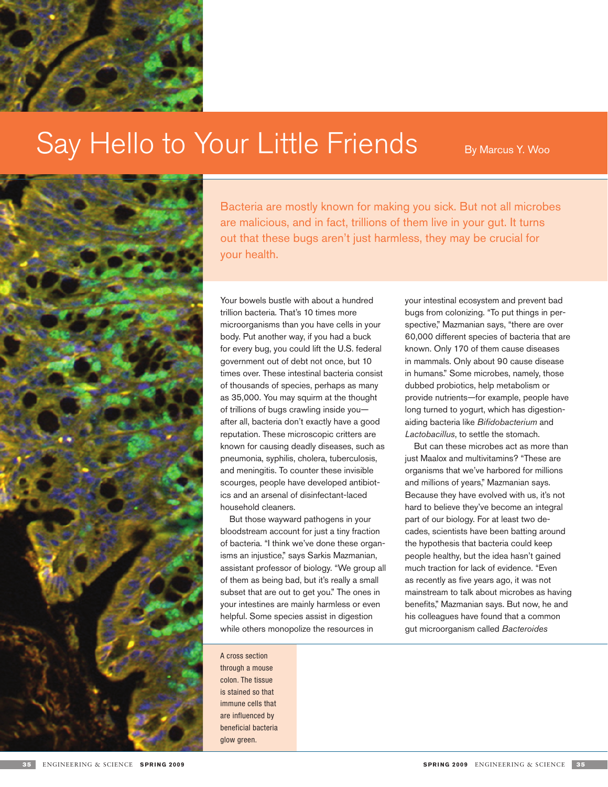

# Say Hello to Your Little Friends By Marcus Y. Woo



Bacteria are mostly known for making you sick. But not all microbes are malicious, and in fact, trillions of them live in your gut. It turns out that these bugs aren't just harmless, they may be crucial for your health.

Your bowels bustle with about a hundred trillion bacteria. That's 10 times more microorganisms than you have cells in your body. Put another way, if you had a buck for every bug, you could lift the U.S. federal government out of debt not once, but 10 times over. These intestinal bacteria consist of thousands of species, perhaps as many as 35,000. You may squirm at the thought of trillions of bugs crawling inside you after all, bacteria don't exactly have a good reputation. These microscopic critters are known for causing deadly diseases, such as pneumonia, syphilis, cholera, tuberculosis, and meningitis. To counter these invisible scourges, people have developed antibiotics and an arsenal of disinfectant-laced household cleaners.

But those wayward pathogens in your bloodstream account for just a tiny fraction of bacteria. "I think we've done these organisms an injustice," says Sarkis Mazmanian, assistant professor of biology. "We group all of them as being bad, but it's really a small subset that are out to get you." The ones in your intestines are mainly harmless or even helpful. Some species assist in digestion while others monopolize the resources in

A cross section through a mouse colon. The tissue is stained so that immune cells that are influenced by beneficial bacteria glow green.

your intestinal ecosystem and prevent bad bugs from colonizing. "To put things in perspective," Mazmanian says, "there are over 60,000 different species of bacteria that are known. Only 170 of them cause diseases in mammals. Only about 90 cause disease in humans." Some microbes, namely, those dubbed probiotics, help metabolism or provide nutrients—for example, people have long turned to yogurt, which has digestionaiding bacteria like *Bifidobacterium* and *Lactobacillus*, to settle the stomach.

But can these microbes act as more than just Maalox and multivitamins? "These are organisms that we've harbored for millions and millions of years," Mazmanian says. Because they have evolved with us, it's not hard to believe they've become an integral part of our biology. For at least two decades, scientists have been batting around the hypothesis that bacteria could keep people healthy, but the idea hasn't gained much traction for lack of evidence. "Even as recently as five years ago, it was not mainstream to talk about microbes as having benefits," Mazmanian says. But now, he and his colleagues have found that a common gut microorganism called *Bacteroides*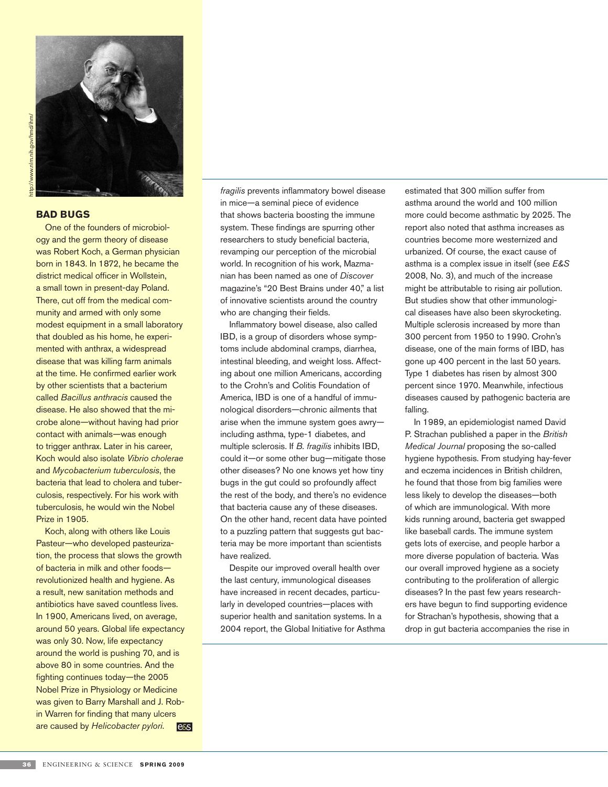

## **Bad Bugs**

One of the founders of microbiology and the germ theory of disease was Robert Koch, a German physician born in 1843. In 1872, he became the district medical officer in Wollstein, a small town in present-day Poland. There, cut off from the medical community and armed with only some modest equipment in a small laboratory that doubled as his home, he experimented with anthrax, a widespread disease that was killing farm animals at the time. He confirmed earlier work by other scientists that a bacterium called *Bacillus anthracis* caused the disease. He also showed that the microbe alone—without having had prior contact with animals—was enough to trigger anthrax. Later in his career, Koch would also isolate *Vibrio cholerae* and *Mycobacterium tuberculosis*, the bacteria that lead to cholera and tuberculosis, respectively. For his work with tuberculosis, he would win the Nobel Prize in 1905.

Koch, along with others like Louis Pasteur—who developed pasteurization, the process that slows the growth of bacteria in milk and other foods revolutionized health and hygiene. As a result, new sanitation methods and antibiotics have saved countless lives. In 1900, Americans lived, on average, around 50 years. Global life expectancy was only 30. Now, life expectancy around the world is pushing 70, and is above 80 in some countries. And the fighting continues today—the 2005 Nobel Prize in Physiology or Medicine was given to Barry Marshall and J. Robin Warren for finding that many ulcers are caused by *Helicobacter pylori*. **e**&s *fragilis* prevents inflammatory bowel disease in mice—a seminal piece of evidence that shows bacteria boosting the immune system. These findings are spurring other researchers to study beneficial bacteria, revamping our perception of the microbial world. In recognition of his work, Mazmanian has been named as one of *Discover* magazine's "20 Best Brains under 40," a list of innovative scientists around the country who are changing their fields.

Inflammatory bowel disease, also called IBD, is a group of disorders whose symptoms include abdominal cramps, diarrhea, intestinal bleeding, and weight loss. Affecting about one million Americans, according to the Crohn's and Colitis Foundation of America, IBD is one of a handful of immunological disorders—chronic ailments that arise when the immune system goes awry including asthma, type-1 diabetes, and multiple sclerosis. If *B. fragilis* inhibits IBD, could it—or some other bug—mitigate those other diseases? No one knows yet how tiny bugs in the gut could so profoundly affect the rest of the body, and there's no evidence that bacteria cause any of these diseases. On the other hand, recent data have pointed to a puzzling pattern that suggests gut bacteria may be more important than scientists have realized.

Despite our improved overall health over the last century, immunological diseases have increased in recent decades, particularly in developed countries—places with superior health and sanitation systems. In a 2004 report, the Global Initiative for Asthma estimated that 300 million suffer from asthma around the world and 100 million more could become asthmatic by 2025. The report also noted that asthma increases as countries become more westernized and urbanized. Of course, the exact cause of asthma is a complex issue in itself (see *E&S*  2008, No. 3), and much of the increase might be attributable to rising air pollution. But studies show that other immunological diseases have also been skyrocketing. Multiple sclerosis increased by more than 300 percent from 1950 to 1990. Crohn's disease, one of the main forms of IBD, has gone up 400 percent in the last 50 years. Type 1 diabetes has risen by almost 300 percent since 1970. Meanwhile, infectious diseases caused by pathogenic bacteria are falling.

In 1989, an epidemiologist named David P. Strachan published a paper in the *British Medical Journal* proposing the so-called hygiene hypothesis. From studying hay-fever and eczema incidences in British children, he found that those from big families were less likely to develop the diseases—both of which are immunological. With more kids running around, bacteria get swapped like baseball cards. The immune system gets lots of exercise, and people harbor a more diverse population of bacteria. Was our overall improved hygiene as a society contributing to the proliferation of allergic diseases? In the past few years researchers have begun to find supporting evidence for Strachan's hypothesis, showing that a drop in gut bacteria accompanies the rise in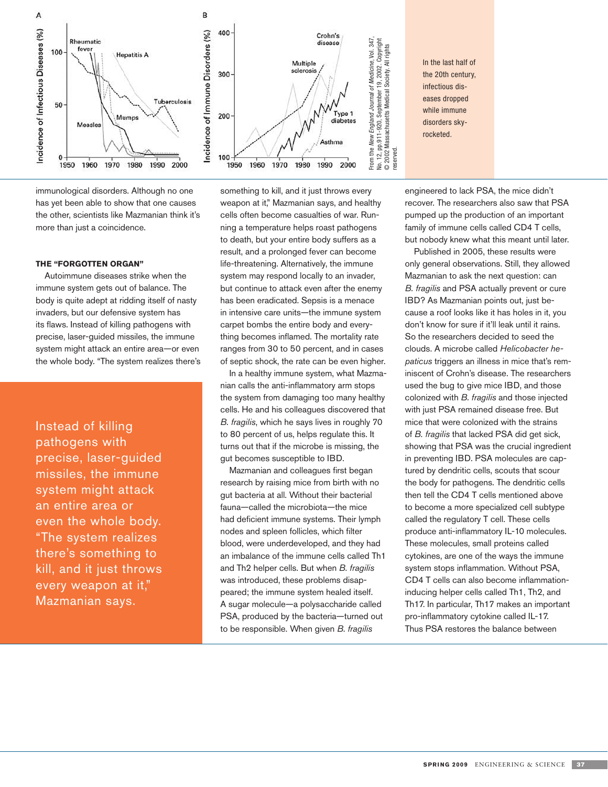

immunological disorders. Although no one has yet been able to show that one causes the other, scientists like Mazmanian think it's more than just a coincidence.

## **The "Forgotten Organ"**

Autoimmune diseases strike when the immune system gets out of balance. The body is quite adept at ridding itself of nasty invaders, but our defensive system has its flaws. Instead of killing pathogens with precise, laser-guided missiles, the immune system might attack an entire area—or even the whole body. "The system realizes there's

Instead of killing pathogens with precise, laser-guided missiles, the immune system might attack an entire area or even the whole body. "The system realizes there's something to kill, and it just throws every weapon at it," Mazmanian says.

something to kill, and it just throws every weapon at it," Mazmanian says, and healthy cells often become casualties of war. Running a temperature helps roast pathogens to death, but your entire body suffers as a result, and a prolonged fever can become life-threatening. Alternatively, the immune system may respond locally to an invader, but continue to attack even after the enemy has been eradicated. Sepsis is a menace in intensive care units—the immune system carpet bombs the entire body and everything becomes inflamed. The mortality rate ranges from 30 to 50 percent, and in cases of septic shock, the rate can be even higher.

In a healthy immune system, what Mazmanian calls the anti-inflammatory arm stops the system from damaging too many healthy cells. He and his colleagues discovered that *B. fragilis*, which he says lives in roughly 70 to 80 percent of us, helps regulate this. It turns out that if the microbe is missing, the gut becomes susceptible to IBD.

Mazmanian and colleagues first began research by raising mice from birth with no gut bacteria at all. Without their bacterial fauna—called the microbiota—the mice had deficient immune systems. Their lymph nodes and spleen follicles, which filter blood, were underdeveloped, and they had an imbalance of the immune cells called Th1 and Th2 helper cells. But when *B. fragilis* was introduced, these problems disappeared; the immune system healed itself. A sugar molecule—a polysaccharide called PSA, produced by the bacteria—turned out to be responsible. When given *B. fragilis*

engineered to lack PSA, the mice didn't recover. The researchers also saw that PSA pumped up the production of an important family of immune cells called CD4 T cells, but nobody knew what this meant until later.

Published in 2005, these results were only general observations. Still, they allowed Mazmanian to ask the next question: can *B. fragilis* and PSA actually prevent or cure IBD? As Mazmanian points out, just because a roof looks like it has holes in it, you don't know for sure if it'll leak until it rains. So the researchers decided to seed the clouds. A microbe called *Helicobacter hepaticus* triggers an illness in mice that's reminiscent of Crohn's disease. The researchers used the bug to give mice IBD, and those colonized with *B. fragilis* and those injected with just PSA remained disease free. But mice that were colonized with the strains of *B. fragilis* that lacked PSA did get sick, showing that PSA was the crucial ingredient in preventing IBD. PSA molecules are captured by dendritic cells, scouts that scour the body for pathogens. The dendritic cells then tell the CD4 T cells mentioned above to become a more specialized cell subtype called the regulatory T cell. These cells produce anti-inflammatory IL-10 molecules. These molecules, small proteins called cytokines, are one of the ways the immune system stops inflammation. Without PSA, CD4 T cells can also become inflammationinducing helper cells called Th1, Th2, and Th17. In particular, Th17 makes an important pro-inflammatory cytokine called IL-17. Thus PSA restores the balance between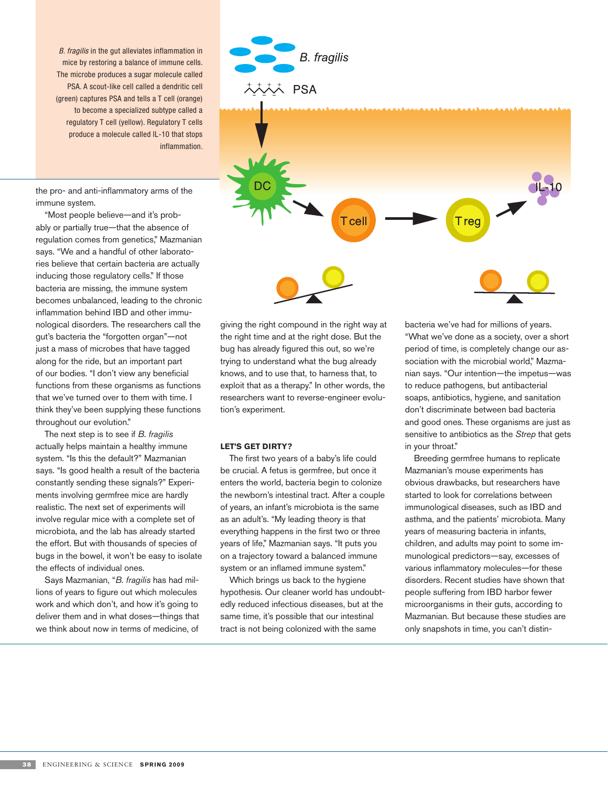B. fragilis in the gut alleviates inflammation in mice by restoring a balance of immune cells. The microbe produces a sugar molecule called PSA. A scout-like cell called a dendritic cell (green) captures PSA and tells a T cell (orange) to become a specialized subtype called a regulatory T cell (yellow). Regulatory T cells produce a molecule called IL-10 that stops inflammation.

the pro- and anti-inflammatory arms of the immune system.

"Most people believe—and it's probably or partially true—that the absence of regulation comes from genetics," Mazmanian says. "We and a handful of other laboratories believe that certain bacteria are actually inducing those regulatory cells." If those bacteria are missing, the immune system becomes unbalanced, leading to the chronic inflammation behind IBD and other immunological disorders. The researchers call the gut's bacteria the "forgotten organ"—not just a mass of microbes that have tagged along for the ride, but an important part of our bodies. "I don't view any beneficial functions from these organisms as functions that we've turned over to them with time. I think they've been supplying these functions throughout our evolution."

The next step is to see if *B. fragilis* actually helps maintain a healthy immune system. "Is this the default?" Mazmanian says. "Is good health a result of the bacteria constantly sending these signals?" Experiments involving germfree mice are hardly realistic. The next set of experiments will involve regular mice with a complete set of microbiota, and the lab has already started the effort. But with thousands of species of bugs in the bowel, it won't be easy to isolate the effects of individual ones.

Says Mazmanian, "*B. fragilis* has had millions of years to figure out which molecules work and which don't, and how it's going to deliver them and in what doses—things that we think about now in terms of medicine, of

**B.** fragilis 大大大大 PSA



giving the right compound in the right way at the right time and at the right dose. But the bug has already figured this out, so we're trying to understand what the bug already knows, and to use that, to harness that, to exploit that as a therapy." In other words, the researchers want to reverse-engineer evolution's experiment.

## **Let's Get Dirty?**

The first two years of a baby's life could be crucial. A fetus is germfree, but once it enters the world, bacteria begin to colonize the newborn's intestinal tract. After a couple of years, an infant's microbiota is the same as an adult's. "My leading theory is that everything happens in the first two or three years of life," Mazmanian says. "It puts you on a trajectory toward a balanced immune system or an inflamed immune system."

Which brings us back to the hygiene hypothesis. Our cleaner world has undoubtedly reduced infectious diseases, but at the same time, it's possible that our intestinal tract is not being colonized with the same

bacteria we've had for millions of years. "What we've done as a society, over a short period of time, is completely change our association with the microbial world," Mazmanian says. "Our intention—the impetus—was to reduce pathogens, but antibacterial soaps, antibiotics, hygiene, and sanitation don't discriminate between bad bacteria and good ones. These organisms are just as sensitive to antibiotics as the *Strep* that gets in your throat."

Breeding germfree humans to replicate Mazmanian's mouse experiments has obvious drawbacks, but researchers have started to look for correlations between immunological diseases, such as IBD and asthma, and the patients' microbiota. Many years of measuring bacteria in infants, children, and adults may point to some immunological predictors—say, excesses of various inflammatory molecules—for these disorders. Recent studies have shown that people suffering from IBD harbor fewer microorganisms in their guts, according to Mazmanian. But because these studies are only snapshots in time, you can't distin